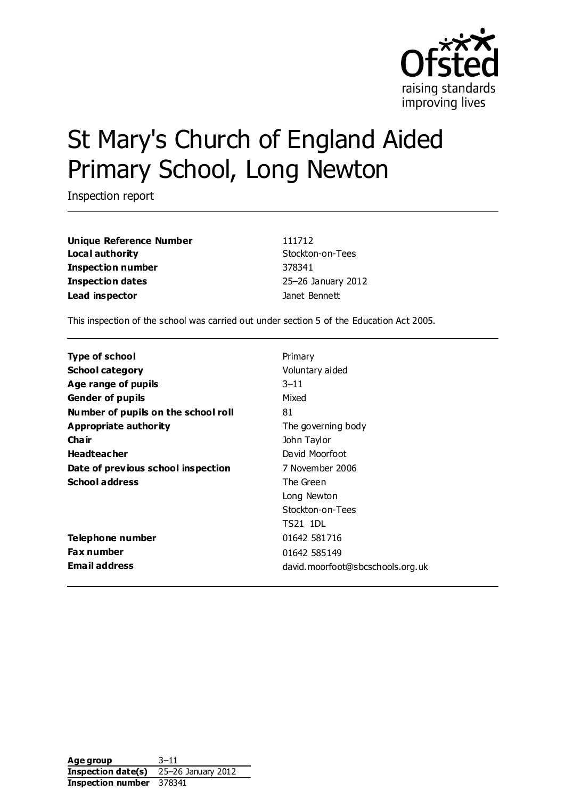

# St Mary's Church of England Aided Primary School, Long Newton

Inspection report

**Unique Reference Number** 111712 **Local authority** Stockton-on-Tees **Inspection number** 378341 **Inspection dates** 25–26 January 2012 **Lead inspector** Janet Bennett

This inspection of the school was carried out under section 5 of the Education Act 2005.

| <b>Type of school</b>               | Primary                          |
|-------------------------------------|----------------------------------|
| <b>School category</b>              | Voluntary aided                  |
| Age range of pupils                 | $3 - 11$                         |
| <b>Gender of pupils</b>             | Mixed                            |
| Number of pupils on the school roll | 81                               |
| Appropriate authority               | The governing body               |
| Cha ir                              | John Taylor                      |
| <b>Headteacher</b>                  | David Moorfoot                   |
| Date of previous school inspection  | 7 November 2006                  |
| <b>School address</b>               | The Green                        |
|                                     | Long Newton                      |
|                                     | Stockton-on-Tees                 |
|                                     | TS21 1DL                         |
| Telephone number                    | 01642 581716                     |
| <b>Fax number</b>                   | 01642 585149                     |
| <b>Email address</b>                | david.moorfoot@sbcschools.org.uk |

**Age group** 3–11 **Inspection date(s)** 25–26 January 2012 **Inspection number** 378341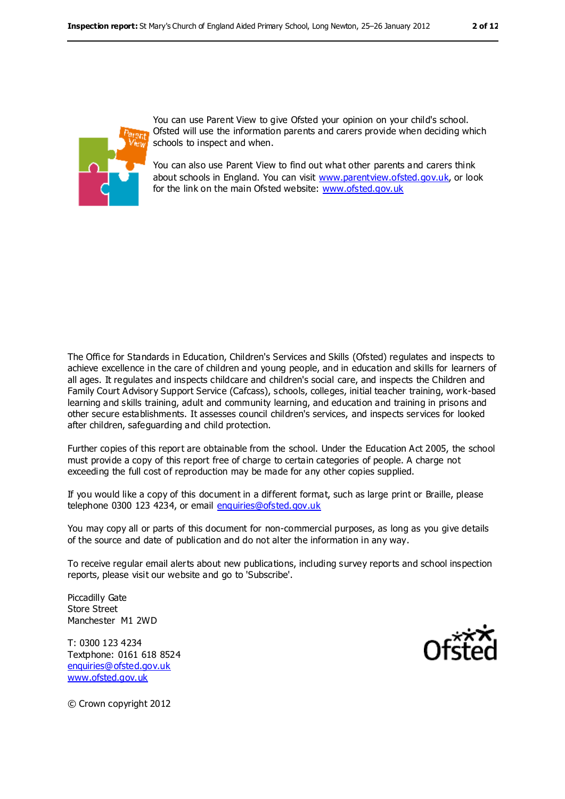

You can use Parent View to give Ofsted your opinion on your child's school. Ofsted will use the information parents and carers provide when deciding which schools to inspect and when.

You can also use Parent View to find out what other parents and carers think about schools in England. You can visit [www.parentview.ofsted.gov.uk,](file:///C:/Users/kculshaw/Users/Janet.Bennett/AppData/Local/Microsoft/Windows/Temporary%20Internet%20Files/Low/Local%20Settings/Temporary%20Internet%20Files/Content.IE5/WT8PADY7/www.parentview.ofsted.gov.uk) or look for the link on the main Ofsted website: [www.ofsted.gov.uk](file:///C:/Users/kculshaw/Users/Janet.Bennett/AppData/Local/Microsoft/Windows/Temporary%20Internet%20Files/Low/Local%20Settings/Temporary%20Internet%20Files/Content.IE5/WT8PADY7/www.ofsted.gov.uk)

The Office for Standards in Education, Children's Services and Skills (Ofsted) regulates and inspects to achieve excellence in the care of children and young people, and in education and skills for learners of all ages. It regulates and inspects childcare and children's social care, and inspects the Children and Family Court Advisory Support Service (Cafcass), schools, colleges, initial teacher training, work-based learning and skills training, adult and community learning, and education and training in prisons and other secure establishments. It assesses council children's services, and inspects services for looked after children, safeguarding and child protection.

Further copies of this report are obtainable from the school. Under the Education Act 2005, the school must provide a copy of this report free of charge to certain categories of people. A charge not exceeding the full cost of reproduction may be made for any other copies supplied.

If you would like a copy of this document in a different format, such as large print or Braille, please telephone 0300 123 4234, or email enquiries@ofsted.gov.uk

You may copy all or parts of this document for non-commercial purposes, as long as you give details of the source and date of publication and do not alter the information in any way.

To receive regular email alerts about new publications, including survey reports and school inspection reports, please visit our website and go to 'Subscribe'.

Piccadilly Gate Store Street Manchester M1 2WD

T: 0300 123 4234 Textphone: 0161 618 8524 [enquiries@ofsted.gov.uk](mailto:enquiries@ofsted.gov.uk) [www.ofsted.gov.uk](http://www.ofsted.gov.uk/)



© Crown copyright 2012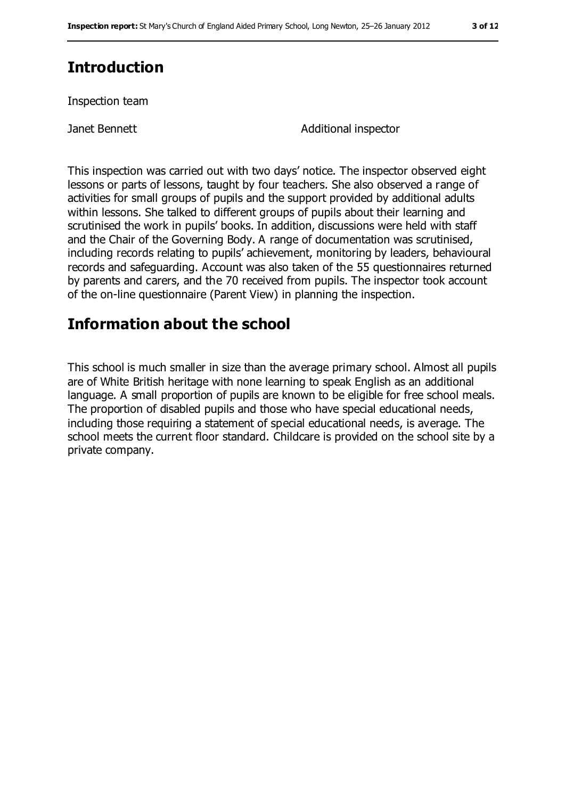# **Introduction**

Inspection team

Janet Bennett **Additional inspector** 

This inspection was carried out with two days' notice. The inspector observed eight lessons or parts of lessons, taught by four teachers. She also observed a range of activities for small groups of pupils and the support provided by additional adults within lessons. She talked to different groups of pupils about their learning and scrutinised the work in pupils' books. In addition, discussions were held with staff and the Chair of the Governing Body. A range of documentation was scrutinised, including records relating to pupils' achievement, monitoring by leaders, behavioural records and safeguarding. Account was also taken of the 55 questionnaires returned by parents and carers, and the 70 received from pupils. The inspector took account of the on-line questionnaire (Parent View) in planning the inspection.

## **Information about the school**

This school is much smaller in size than the average primary school. Almost all pupils are of White British heritage with none learning to speak English as an additional language. A small proportion of pupils are known to be eligible for free school meals. The proportion of disabled pupils and those who have special educational needs, including those requiring a statement of special educational needs, is average. The school meets the current floor standard. Childcare is provided on the school site by a private company.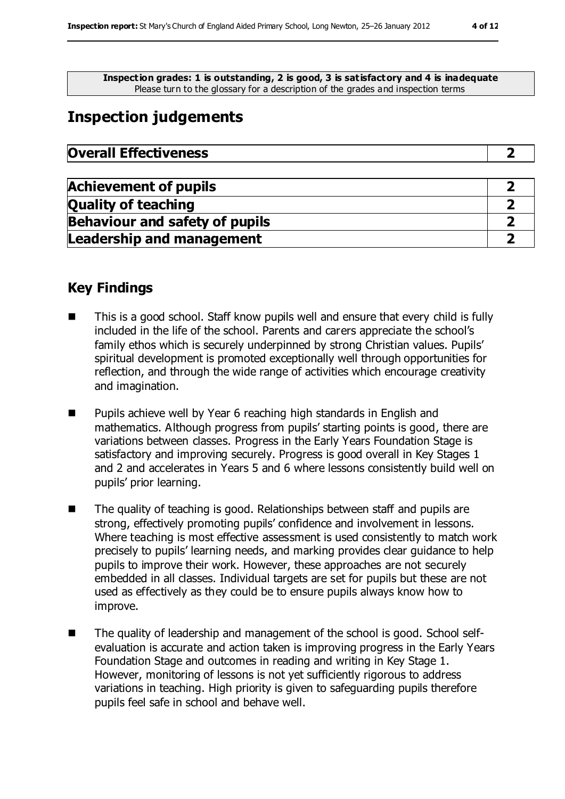**Inspection grades: 1 is outstanding, 2 is good, 3 is satisfactory and 4 is inadequate** Please turn to the glossary for a description of the grades and inspection terms

# **Inspection judgements**

| <b>Overall Effectiveness</b> |  |
|------------------------------|--|
|                              |  |

| <b>Achievement of pupils</b>          |  |
|---------------------------------------|--|
| <b>Quality of teaching</b>            |  |
| <b>Behaviour and safety of pupils</b> |  |
| <b>Leadership and management</b>      |  |

## **Key Findings**

- This is a good school. Staff know pupils well and ensure that every child is fully included in the life of the school. Parents and carers appreciate the school's family ethos which is securely underpinned by strong Christian values. Pupils' spiritual development is promoted exceptionally well through opportunities for reflection, and through the wide range of activities which encourage creativity and imagination.
- Pupils achieve well by Year 6 reaching high standards in English and mathematics. Although progress from pupils' starting points is good, there are variations between classes. Progress in the Early Years Foundation Stage is satisfactory and improving securely. Progress is good overall in Key Stages 1 and 2 and accelerates in Years 5 and 6 where lessons consistently build well on pupils' prior learning.
- The quality of teaching is good. Relationships between staff and pupils are strong, effectively promoting pupils' confidence and involvement in lessons. Where teaching is most effective assessment is used consistently to match work precisely to pupils' learning needs, and marking provides clear guidance to help pupils to improve their work. However, these approaches are not securely embedded in all classes. Individual targets are set for pupils but these are not used as effectively as they could be to ensure pupils always know how to improve.
- The quality of leadership and management of the school is good. School selfevaluation is accurate and action taken is improving progress in the Early Years Foundation Stage and outcomes in reading and writing in Key Stage 1. However, monitoring of lessons is not yet sufficiently rigorous to address variations in teaching. High priority is given to safeguarding pupils therefore pupils feel safe in school and behave well.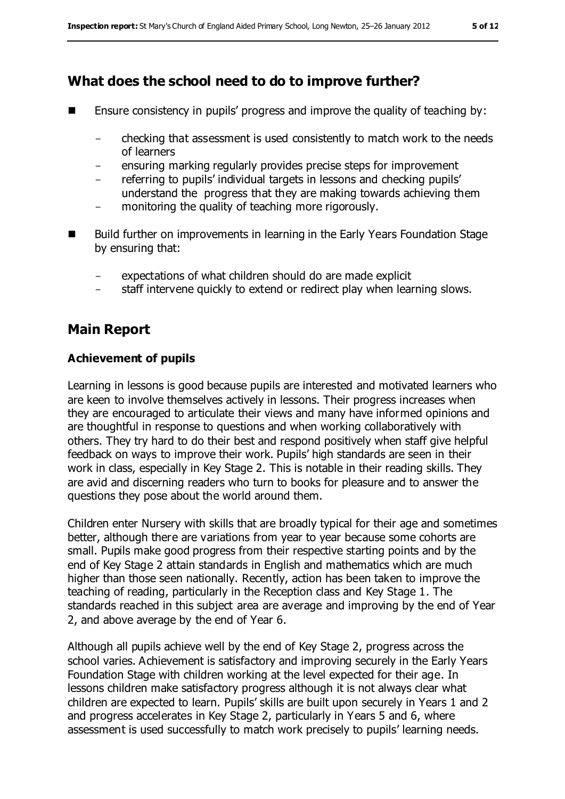## **What does the school need to do to improve further?**

- **E** Ensure consistency in pupils' progress and improve the quality of teaching by:
	- checking that assessment is used consistently to match work to the needs of learners
	- ensuring marking regularly provides precise steps for improvement
	- referring to pupils' individual targets in lessons and checking pupils' understand the progress that they are making towards achieving them
	- monitoring the quality of teaching more rigorously.
- Build further on improvements in learning in the Early Years Foundation Stage by ensuring that:
	- expectations of what children should do are made explicit
	- staff intervene quickly to extend or redirect play when learning slows.

## **Main Report**

#### **Achievement of pupils**

Learning in lessons is good because pupils are interested and motivated learners who are keen to involve themselves actively in lessons. Their progress increases when they are encouraged to articulate their views and many have informed opinions and are thoughtful in response to questions and when working collaboratively with others. They try hard to do their best and respond positively when staff give helpful feedback on ways to improve their work. Pupils' high standards are seen in their work in class, especially in Key Stage 2. This is notable in their reading skills. They are avid and discerning readers who turn to books for pleasure and to answer the questions they pose about the world around them.

Children enter Nursery with skills that are broadly typical for their age and sometimes better, although there are variations from year to year because some cohorts are small. Pupils make good progress from their respective starting points and by the end of Key Stage 2 attain standards in English and mathematics which are much higher than those seen nationally. Recently, action has been taken to improve the teaching of reading, particularly in the Reception class and Key Stage 1. The standards reached in this subject area are average and improving by the end of Year 2, and above average by the end of Year 6.

Although all pupils achieve well by the end of Key Stage 2, progress across the school varies. Achievement is satisfactory and improving securely in the Early Years Foundation Stage with children working at the level expected for their age. In lessons children make satisfactory progress although it is not always clear what children are expected to learn. Pupils' skills are built upon securely in Years 1 and 2 and progress accelerates in Key Stage 2, particularly in Years 5 and 6, where assessment is used successfully to match work precisely to pupils' learning needs.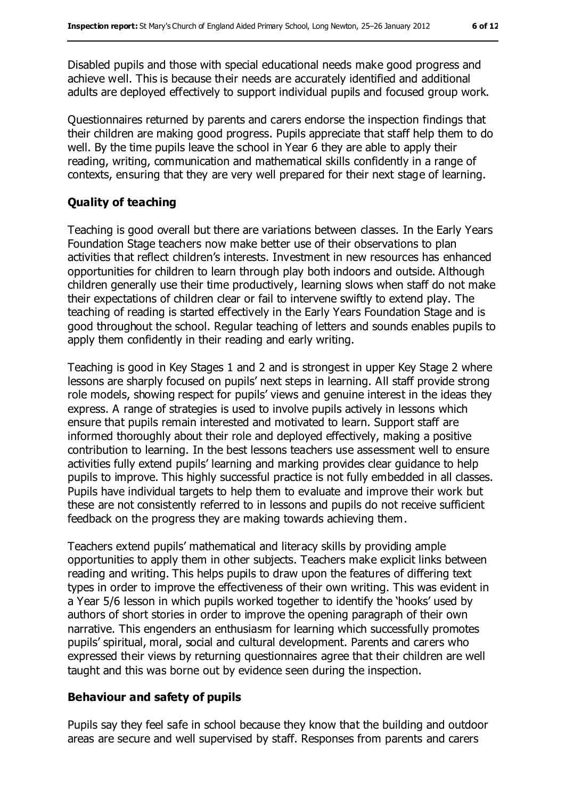Disabled pupils and those with special educational needs make good progress and achieve well. This is because their needs are accurately identified and additional adults are deployed effectively to support individual pupils and focused group work.

Questionnaires returned by parents and carers endorse the inspection findings that their children are making good progress. Pupils appreciate that staff help them to do well. By the time pupils leave the school in Year 6 they are able to apply their reading, writing, communication and mathematical skills confidently in a range of contexts, ensuring that they are very well prepared for their next stage of learning.

#### **Quality of teaching**

Teaching is good overall but there are variations between classes. In the Early Years Foundation Stage teachers now make better use of their observations to plan activities that reflect children's interests. Investment in new resources has enhanced opportunities for children to learn through play both indoors and outside. Although children generally use their time productively, learning slows when staff do not make their expectations of children clear or fail to intervene swiftly to extend play. The teaching of reading is started effectively in the Early Years Foundation Stage and is good throughout the school. Regular teaching of letters and sounds enables pupils to apply them confidently in their reading and early writing.

Teaching is good in Key Stages 1 and 2 and is strongest in upper Key Stage 2 where lessons are sharply focused on pupils' next steps in learning. All staff provide strong role models, showing respect for pupils' views and genuine interest in the ideas they express. A range of strategies is used to involve pupils actively in lessons which ensure that pupils remain interested and motivated to learn. Support staff are informed thoroughly about their role and deployed effectively, making a positive contribution to learning. In the best lessons teachers use assessment well to ensure activities fully extend pupils' learning and marking provides clear guidance to help pupils to improve. This highly successful practice is not fully embedded in all classes. Pupils have individual targets to help them to evaluate and improve their work but these are not consistently referred to in lessons and pupils do not receive sufficient feedback on the progress they are making towards achieving them.

Teachers extend pupils' mathematical and literacy skills by providing ample opportunities to apply them in other subjects. Teachers make explicit links between reading and writing. This helps pupils to draw upon the features of differing text types in order to improve the effectiveness of their own writing. This was evident in a Year 5/6 lesson in which pupils worked together to identify the 'hooks' used by authors of short stories in order to improve the opening paragraph of their own narrative. This engenders an enthusiasm for learning which successfully promotes pupils' spiritual, moral, social and cultural development. Parents and carers who expressed their views by returning questionnaires agree that their children are well taught and this was borne out by evidence seen during the inspection.

#### **Behaviour and safety of pupils**

Pupils say they feel safe in school because they know that the building and outdoor areas are secure and well supervised by staff. Responses from parents and carers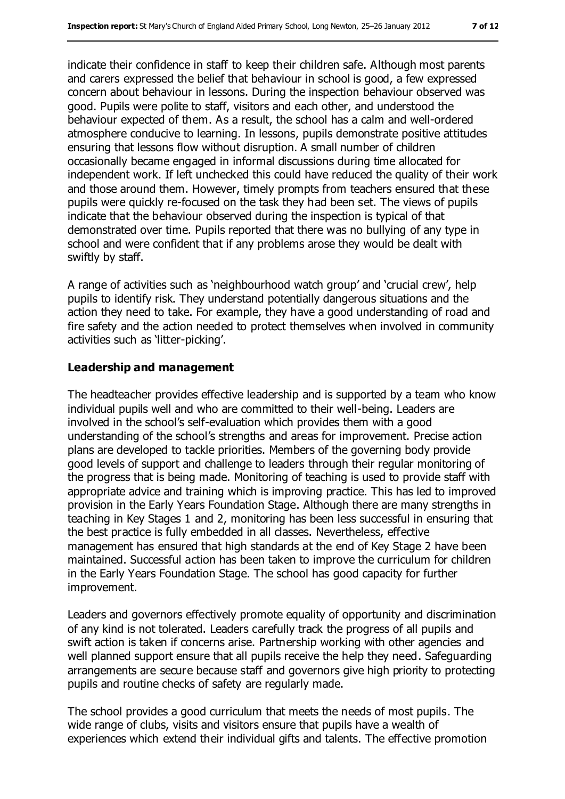indicate their confidence in staff to keep their children safe. Although most parents and carers expressed the belief that behaviour in school is good, a few expressed concern about behaviour in lessons. During the inspection behaviour observed was good. Pupils were polite to staff, visitors and each other, and understood the behaviour expected of them. As a result, the school has a calm and well-ordered atmosphere conducive to learning. In lessons, pupils demonstrate positive attitudes ensuring that lessons flow without disruption. A small number of children occasionally became engaged in informal discussions during time allocated for independent work. If left unchecked this could have reduced the quality of their work and those around them. However, timely prompts from teachers ensured that these pupils were quickly re-focused on the task they had been set. The views of pupils indicate that the behaviour observed during the inspection is typical of that demonstrated over time. Pupils reported that there was no bullying of any type in school and were confident that if any problems arose they would be dealt with swiftly by staff.

A range of activities such as 'neighbourhood watch group' and 'crucial crew', help pupils to identify risk. They understand potentially dangerous situations and the action they need to take. For example, they have a good understanding of road and fire safety and the action needed to protect themselves when involved in community activities such as 'litter-picking'.

#### **Leadership and management**

The headteacher provides effective leadership and is supported by a team who know individual pupils well and who are committed to their well-being. Leaders are involved in the school's self-evaluation which provides them with a good understanding of the school's strengths and areas for improvement. Precise action plans are developed to tackle priorities. Members of the governing body provide good levels of support and challenge to leaders through their regular monitoring of the progress that is being made. Monitoring of teaching is used to provide staff with appropriate advice and training which is improving practice. This has led to improved provision in the Early Years Foundation Stage. Although there are many strengths in teaching in Key Stages 1 and 2, monitoring has been less successful in ensuring that the best practice is fully embedded in all classes. Nevertheless, effective management has ensured that high standards at the end of Key Stage 2 have been maintained. Successful action has been taken to improve the curriculum for children in the Early Years Foundation Stage. The school has good capacity for further improvement.

Leaders and governors effectively promote equality of opportunity and discrimination of any kind is not tolerated. Leaders carefully track the progress of all pupils and swift action is taken if concerns arise. Partnership working with other agencies and well planned support ensure that all pupils receive the help they need. Safeguarding arrangements are secure because staff and governors give high priority to protecting pupils and routine checks of safety are regularly made.

The school provides a good curriculum that meets the needs of most pupils. The wide range of clubs, visits and visitors ensure that pupils have a wealth of experiences which extend their individual gifts and talents. The effective promotion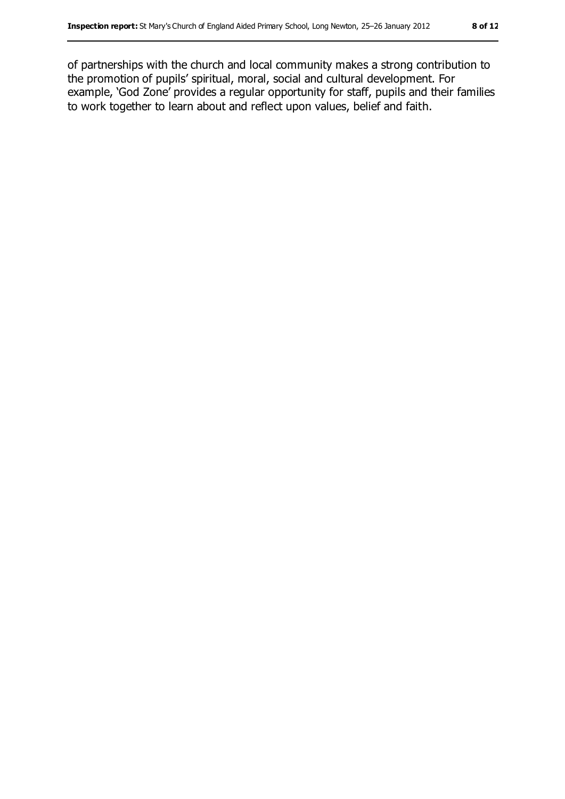of partnerships with the church and local community makes a strong contribution to the promotion of pupils' spiritual, moral, social and cultural development. For example, 'God Zone' provides a regular opportunity for staff, pupils and their families to work together to learn about and reflect upon values, belief and faith.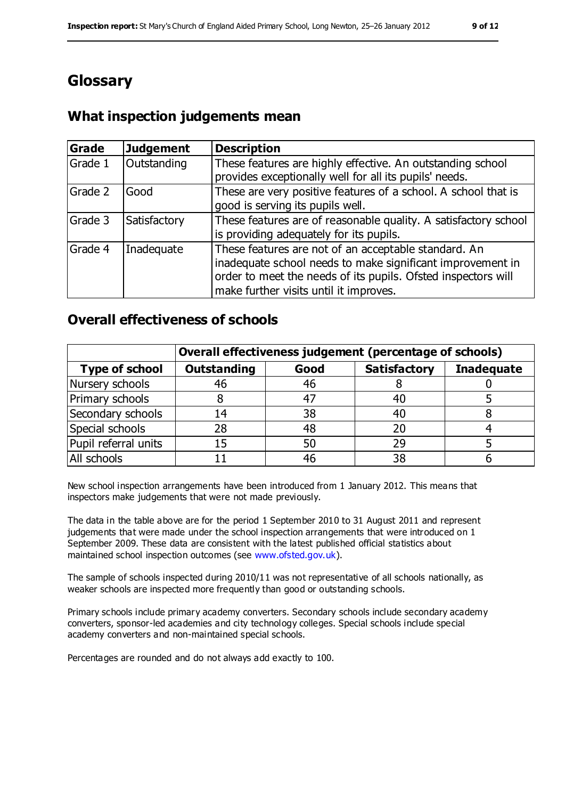# **Glossary**

## **What inspection judgements mean**

| Grade   | <b>Judgement</b> | <b>Description</b>                                                                                                                                                                                                            |
|---------|------------------|-------------------------------------------------------------------------------------------------------------------------------------------------------------------------------------------------------------------------------|
| Grade 1 | Outstanding      | These features are highly effective. An outstanding school<br>provides exceptionally well for all its pupils' needs.                                                                                                          |
| Grade 2 | Good             | These are very positive features of a school. A school that is<br>good is serving its pupils well.                                                                                                                            |
| Grade 3 | Satisfactory     | These features are of reasonable quality. A satisfactory school<br>is providing adequately for its pupils.                                                                                                                    |
| Grade 4 | Inadequate       | These features are not of an acceptable standard. An<br>inadequate school needs to make significant improvement in<br>order to meet the needs of its pupils. Ofsted inspectors will<br>make further visits until it improves. |

### **Overall effectiveness of schools**

|                       | Overall effectiveness judgement (percentage of schools) |      |                     |                   |
|-----------------------|---------------------------------------------------------|------|---------------------|-------------------|
| <b>Type of school</b> | <b>Outstanding</b>                                      | Good | <b>Satisfactory</b> | <b>Inadequate</b> |
| Nursery schools       | 46                                                      | 46   |                     |                   |
| Primary schools       | 8                                                       | 47   | 40                  |                   |
| Secondary schools     | 14                                                      | 38   | 40                  |                   |
| Special schools       | 28                                                      | 48   | 20                  |                   |
| Pupil referral units  | 15                                                      | 50   | 29                  |                   |
| All schools           |                                                         | 46   | 38                  |                   |

New school inspection arrangements have been introduced from 1 January 2012. This means that inspectors make judgements that were not made previously.

The data in the table above are for the period 1 September 2010 to 31 August 2011 and represent judgements that were made under the school inspection arrangements that were introduced on 1 September 2009. These data are consistent with the latest published official statistics about maintained school inspection outcomes (see [www.ofsted.gov.uk\)](file:///C:/Users/kculshaw/Users/Janet.Bennett/AppData/Local/Microsoft/Windows/Temporary%20Internet%20Files/Low/Local%20Settings/Temporary%20Internet%20Files/Content.IE5/WT8PADY7/www.ofsted.gov.uk).

The sample of schools inspected during 2010/11 was not representative of all schools nationally, as weaker schools are inspected more frequently than good or outstanding schools.

Primary schools include primary academy converters. Secondary schools include secondary academy converters, sponsor-led academies and city technology colleges. Special schools include special academy converters and non-maintained special schools.

Percentages are rounded and do not always add exactly to 100.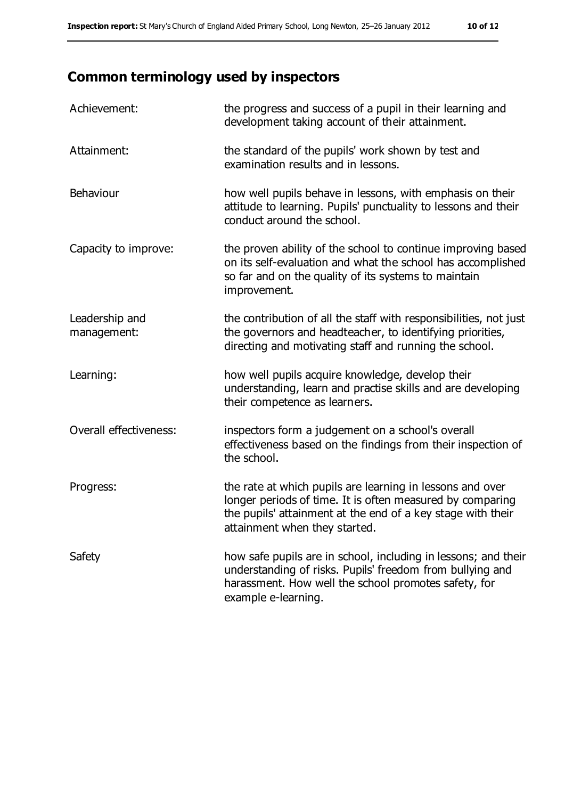# **Common terminology used by inspectors**

| Achievement:                  | the progress and success of a pupil in their learning and<br>development taking account of their attainment.                                                                                                           |
|-------------------------------|------------------------------------------------------------------------------------------------------------------------------------------------------------------------------------------------------------------------|
| Attainment:                   | the standard of the pupils' work shown by test and<br>examination results and in lessons.                                                                                                                              |
| Behaviour                     | how well pupils behave in lessons, with emphasis on their<br>attitude to learning. Pupils' punctuality to lessons and their<br>conduct around the school.                                                              |
| Capacity to improve:          | the proven ability of the school to continue improving based<br>on its self-evaluation and what the school has accomplished<br>so far and on the quality of its systems to maintain<br>improvement.                    |
| Leadership and<br>management: | the contribution of all the staff with responsibilities, not just<br>the governors and headteacher, to identifying priorities,<br>directing and motivating staff and running the school.                               |
| Learning:                     | how well pupils acquire knowledge, develop their<br>understanding, learn and practise skills and are developing<br>their competence as learners.                                                                       |
| Overall effectiveness:        | inspectors form a judgement on a school's overall<br>effectiveness based on the findings from their inspection of<br>the school.                                                                                       |
| Progress:                     | the rate at which pupils are learning in lessons and over<br>longer periods of time. It is often measured by comparing<br>the pupils' attainment at the end of a key stage with their<br>attainment when they started. |
| Safety                        | how safe pupils are in school, including in lessons; and their<br>understanding of risks. Pupils' freedom from bullying and<br>harassment. How well the school promotes safety, for<br>example e-learning.             |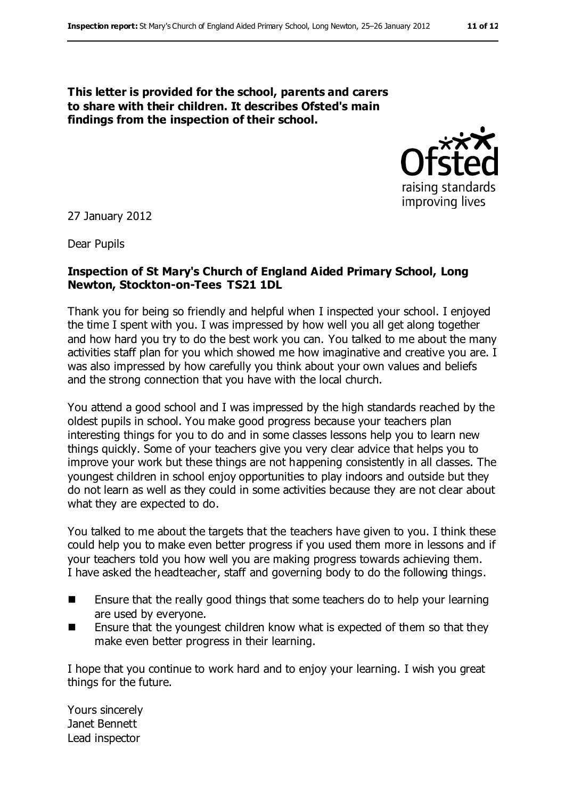**This letter is provided for the school, parents and carers to share with their children. It describes Ofsted's main findings from the inspection of their school.**



27 January 2012

Dear Pupils

#### **Inspection of St Mary's Church of England Aided Primary School, Long Newton, Stockton-on-Tees TS21 1DL**

Thank you for being so friendly and helpful when I inspected your school. I enjoyed the time I spent with you. I was impressed by how well you all get along together and how hard you try to do the best work you can. You talked to me about the many activities staff plan for you which showed me how imaginative and creative you are. I was also impressed by how carefully you think about your own values and beliefs and the strong connection that you have with the local church.

You attend a good school and I was impressed by the high standards reached by the oldest pupils in school. You make good progress because your teachers plan interesting things for you to do and in some classes lessons help you to learn new things quickly. Some of your teachers give you very clear advice that helps you to improve your work but these things are not happening consistently in all classes. The youngest children in school enjoy opportunities to play indoors and outside but they do not learn as well as they could in some activities because they are not clear about what they are expected to do.

You talked to me about the targets that the teachers have given to you. I think these could help you to make even better progress if you used them more in lessons and if your teachers told you how well you are making progress towards achieving them. I have asked the headteacher, staff and governing body to do the following things.

- Ensure that the really good things that some teachers do to help your learning are used by everyone.
- $\blacksquare$  Ensure that the youngest children know what is expected of them so that they make even better progress in their learning.

I hope that you continue to work hard and to enjoy your learning. I wish you great things for the future.

Yours sincerely Janet Bennett Lead inspector